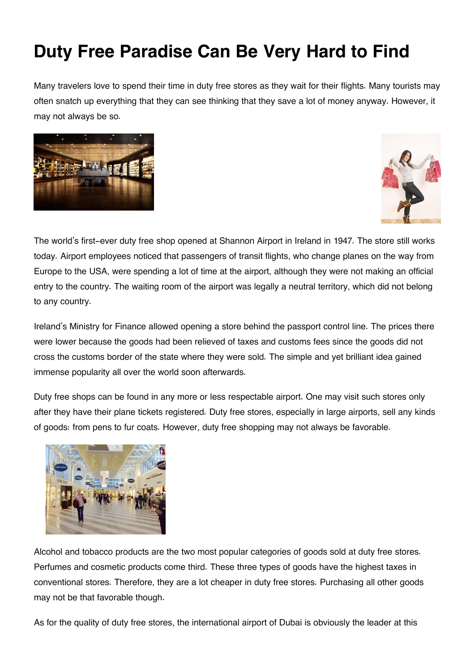## **Duty Free Paradise Can Be Very Hard to Find**

Many travelers love to spend their time in duty free stores as they wait for their flights. Many tourists may often snatch up everything that they can see thinking that they save a lot of money anyway. However, it may not always be so.





The world's first-ever duty free shop opened at Shannon Airport in Ireland in 1947. The store still works today. Airport employees noticed that passengers of transit flights, who change planes on the way from Europe to the USA, were spending a lot of time at the airport, although they were not making an official entry to the country. The waiting room of the airport was legally a neutral territory, which did not belong to any country.

Ireland's Ministry for Finance allowed opening a store behind the passport control line. The prices there were lower because the goods had been relieved of taxes and customs fees since the goods did not cross the customs border of the state where they were sold. The simple and yet brilliant idea gained immense popularity all over the world soon afterwards.

Duty free shops can be found in any more or less respectable airport. One may visit such stores only after they have their plane tickets registered. Duty free stores, especially in large airports, sell any kinds of goods: from pens to fur coats. However, duty free shopping may not always be favorable.



Alcohol and tobacco products are the two most popular categories of goods sold at duty free stores. Perfumes and cosmetic products come third. These three types of goods have the highest taxes in conventional stores. Therefore, they are a lot cheaper in duty free stores. Purchasing all other goods may not be that favorable though.

As for the quality of duty free stores, the international airport of Dubai is obviously the leader at this